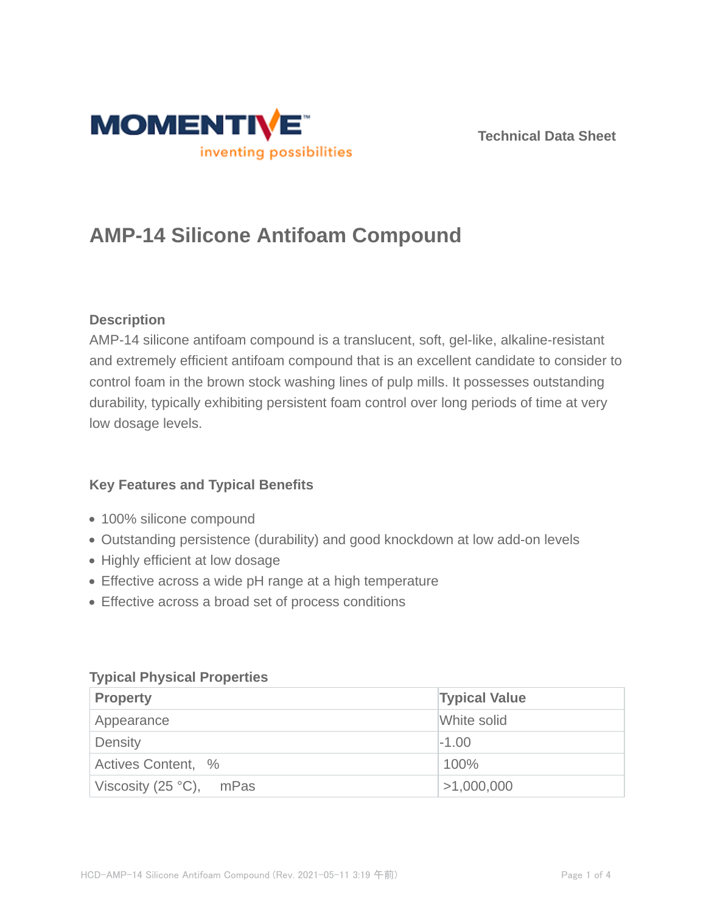

**Technical Data Sheet**

# **AMP-14 Silicone Antifoam Compound**

# **Description**

AMP-14 silicone antifoam compound is a translucent, soft, gel-like, alkaline-resistant and extremely efficient antifoam compound that is an excellent candidate to consider to control foam in the brown stock washing lines of pulp mills. It possesses outstanding durability, typically exhibiting persistent foam control over long periods of time at very low dosage levels.

# **Key Features and Typical Benefits**

- 100% silicone compound
- Outstanding persistence (durability) and good knockdown at low add-on levels
- Highly efficient at low dosage
- Effective across a wide pH range at a high temperature
- Effective across a broad set of process conditions

| <b>Property</b>                   | <b>Typical Value</b> |  |
|-----------------------------------|----------------------|--|
| Appearance                        | White solid          |  |
| Density                           | $-1.00$              |  |
| Actives Content, %                | 100%                 |  |
| Viscosity (25 $^{\circ}$ C), mPas | >1,000,000           |  |

### **Typical Physical Properties**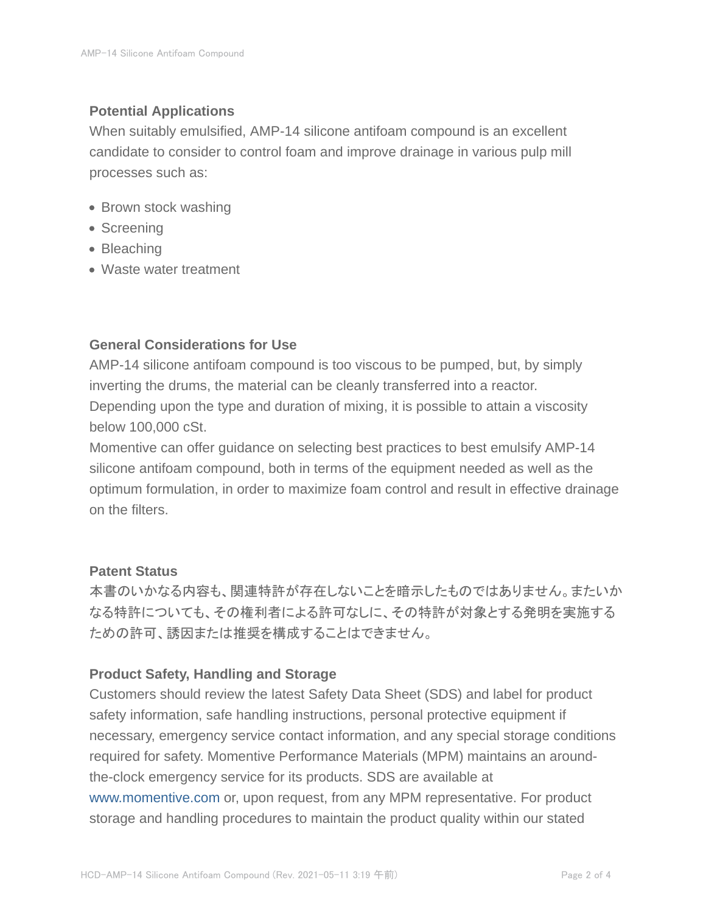## **Potential Applications**

When suitably emulsified, AMP-14 silicone antifoam compound is an excellent candidate to consider to control foam and improve drainage in various pulp mill processes such as:

- Brown stock washing
- Screening
- Bleaching
- Waste water treatment

## **General Considerations for Use**

AMP-14 silicone antifoam compound is too viscous to be pumped, but, by simply inverting the drums, the material can be cleanly transferred into a reactor. Depending upon the type and duration of mixing, it is possible to attain a viscosity below 100,000 cSt.

Momentive can offer guidance on selecting best practices to best emulsify AMP-14 silicone antifoam compound, both in terms of the equipment needed as well as the optimum formulation, in order to maximize foam control and result in effective drainage on the filters.

## **Patent Status**

本書のいかなる内容も、関連特許が存在しないことを暗示したものではありません。またいか なる特許についても、その権利者による許可なしに、その特許が対象とする発明を実施する ための許可、誘因または推奨を構成することはできません。

### **Product Safety, Handling and Storage**

Customers should review the latest Safety Data Sheet (SDS) and label for product safety information, safe handling instructions, personal protective equipment if necessary, emergency service contact information, and any special storage conditions required for safety. Momentive Performance Materials (MPM) maintains an aroundthe-clock emergency service for its products. SDS are available at www.momentive.com or, upon request, from any MPM representative. For product storage and handling procedures to maintain the product quality within our stated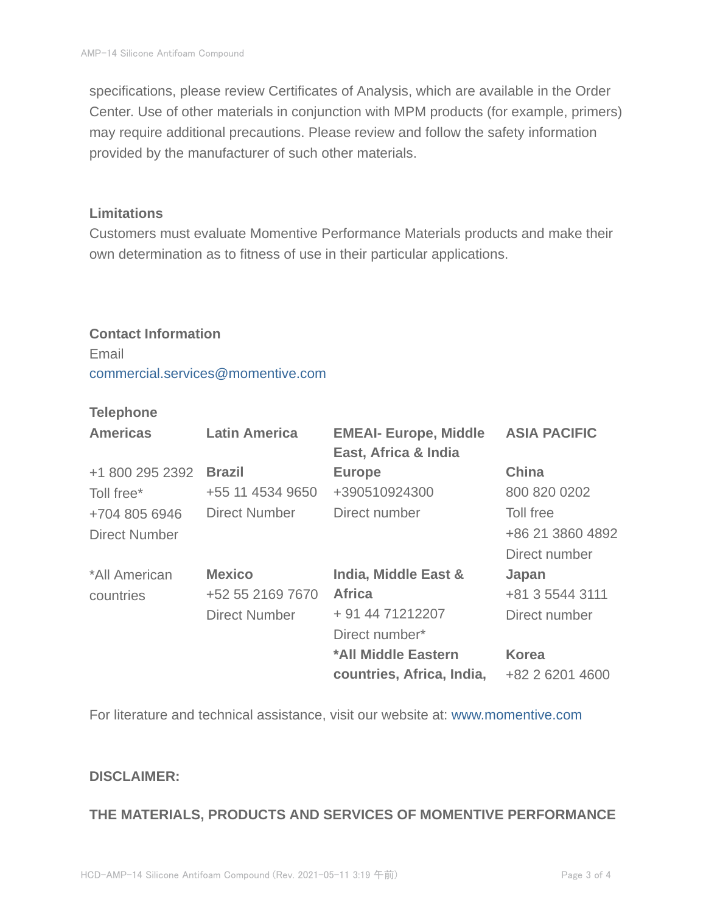specifications, please review Certificates of Analysis, which are available in the Order Center. Use of other materials in conjunction with MPM products (for example, primers) may require additional precautions. Please review and follow the safety information provided by the manufacturer of such other materials.

#### **Limitations**

Customers must evaluate Momentive Performance Materials products and make their own determination as to fitness of use in their particular applications.

#### **Contact Information**

Email commercial.services@momentive.com

#### **Telephone**

| <b>Americas</b>      | <b>Latin America</b> | <b>EMEAI- Europe, Middle</b><br>East, Africa & India | <b>ASIA PACIFIC</b> |
|----------------------|----------------------|------------------------------------------------------|---------------------|
| +1 800 295 2392      | <b>Brazil</b>        | <b>Europe</b>                                        | <b>China</b>        |
| Toll free*           | +55 11 4534 9650     | +390510924300                                        | 800 820 0202        |
| +704 805 6946        | Direct Number        | Direct number                                        | Toll free           |
| <b>Direct Number</b> |                      |                                                      | +86 21 3860 4892    |
|                      |                      |                                                      | Direct number       |
| *All American        | <b>Mexico</b>        | India, Middle East &                                 | Japan               |
| countries            | +52 55 2169 7670     | <b>Africa</b>                                        | +81 3 5544 3111     |
|                      | <b>Direct Number</b> | + 91 44 71212207                                     | Direct number       |
|                      |                      | Direct number*                                       |                     |
|                      |                      | *All Middle Eastern                                  | <b>Korea</b>        |
|                      |                      | countries, Africa, India,                            | +82 2 6201 4600     |

For literature and technical assistance, visit our website at: www.momentive.com

#### **DISCLAIMER:**

### **THE MATERIALS, PRODUCTS AND SERVICES OF MOMENTIVE PERFORMANCE**